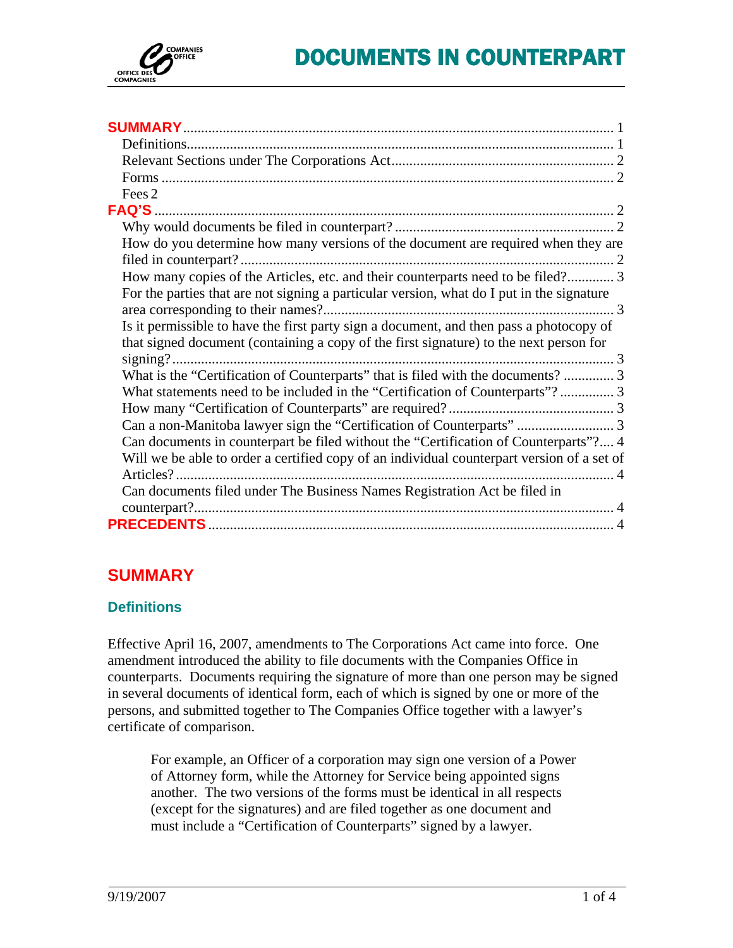<span id="page-0-0"></span>

| Fees 2                                                                                     |
|--------------------------------------------------------------------------------------------|
|                                                                                            |
|                                                                                            |
| How do you determine how many versions of the document are required when they are          |
|                                                                                            |
| How many copies of the Articles, etc. and their counterparts need to be filed? 3           |
| For the parties that are not signing a particular version, what do I put in the signature  |
|                                                                                            |
| Is it permissible to have the first party sign a document, and then pass a photocopy of    |
| that signed document (containing a copy of the first signature) to the next person for     |
|                                                                                            |
| What is the "Certification of Counterparts" that is filed with the documents?  3           |
| What statements need to be included in the "Certification of Counterparts"? 3              |
|                                                                                            |
|                                                                                            |
| Can documents in counterpart be filed without the "Certification of Counterparts"? 4       |
| Will we be able to order a certified copy of an individual counterpart version of a set of |
|                                                                                            |
| Can documents filed under The Business Names Registration Act be filed in                  |
|                                                                                            |
|                                                                                            |

# **SUMMARY**

# **Definitions**

Effective April 16, 2007, amendments to The Corporations Act came into force. One amendment introduced the ability to file documents with the Companies Office in counterparts. Documents requiring the signature of more than one person may be signed in several documents of identical form, each of which is signed by one or more of the persons, and submitted together to The Companies Office together with a lawyer's certificate of comparison.

For example, an Officer of a corporation may sign one version of a Power of Attorney form, while the Attorney for Service being appointed signs another. The two versions of the forms must be identical in all respects (except for the signatures) and are filed together as one document and must include a "Certification of Counterparts" signed by a lawyer.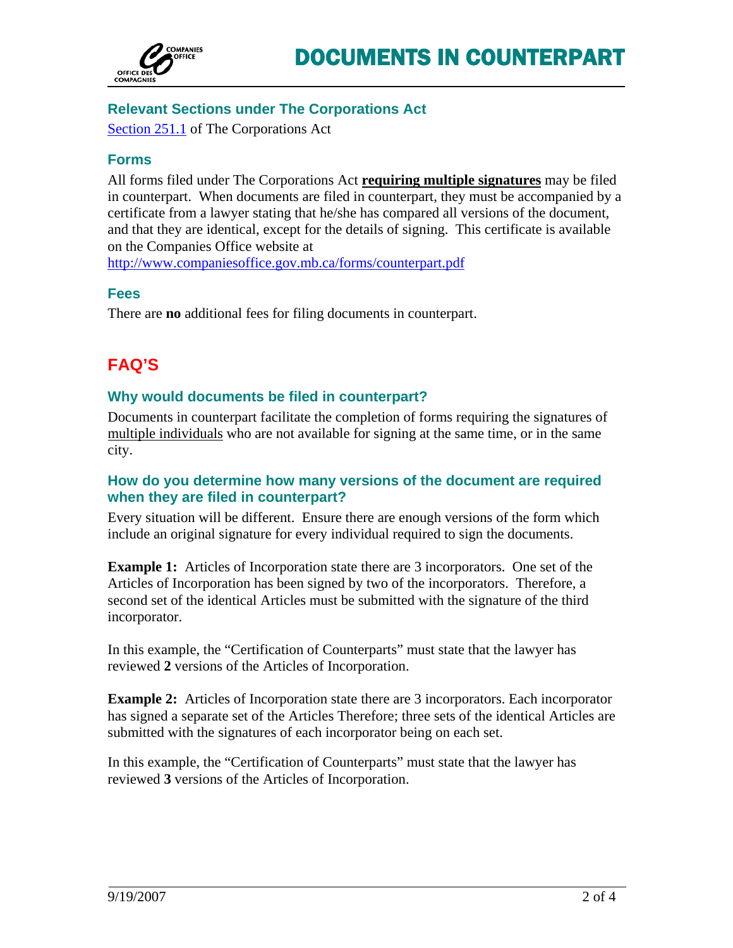<span id="page-1-0"></span>

# **Relevant Sections under The Corporations Act**

[Section 251.1](http://web2.gov.mb.ca/laws/statutes/2006/c01006e.php#255.1) of The Corporations Act

# **Forms**

All forms filed under The Corporations Act **requiring multiple signatures** may be filed in counterpart. When documents are filed in counterpart, they must be accompanied by a certificate from a lawyer stating that he/she has compared all versions of the document, and that they are identical, except for the details of signing. This certificate is available on the Companies Office website at

<http://www.companiesoffice.gov.mb.ca/forms/counterpart.pdf>

### **Fees**

There are **no** additional fees for filing documents in counterpart.

# **FAQ'S**

# **Why would documents be filed in counterpart?**

Documents in counterpart facilitate the completion of forms requiring the signatures of multiple individuals who are not available for signing at the same time, or in the same city.

# **How do you determine how many versions of the document are required when they are filed in counterpart?**

Every situation will be different. Ensure there are enough versions of the form which include an original signature for every individual required to sign the documents.

**Example 1:** Articles of Incorporation state there are 3 incorporators. One set of the Articles of Incorporation has been signed by two of the incorporators. Therefore, a second set of the identical Articles must be submitted with the signature of the third incorporator.

In this example, the "Certification of Counterparts" must state that the lawyer has reviewed **2** versions of the Articles of Incorporation.

**Example 2:** Articles of Incorporation state there are 3 incorporators. Each incorporator has signed a separate set of the Articles Therefore; three sets of the identical Articles are submitted with the signatures of each incorporator being on each set.

In this example, the "Certification of Counterparts" must state that the lawyer has reviewed **3** versions of the Articles of Incorporation.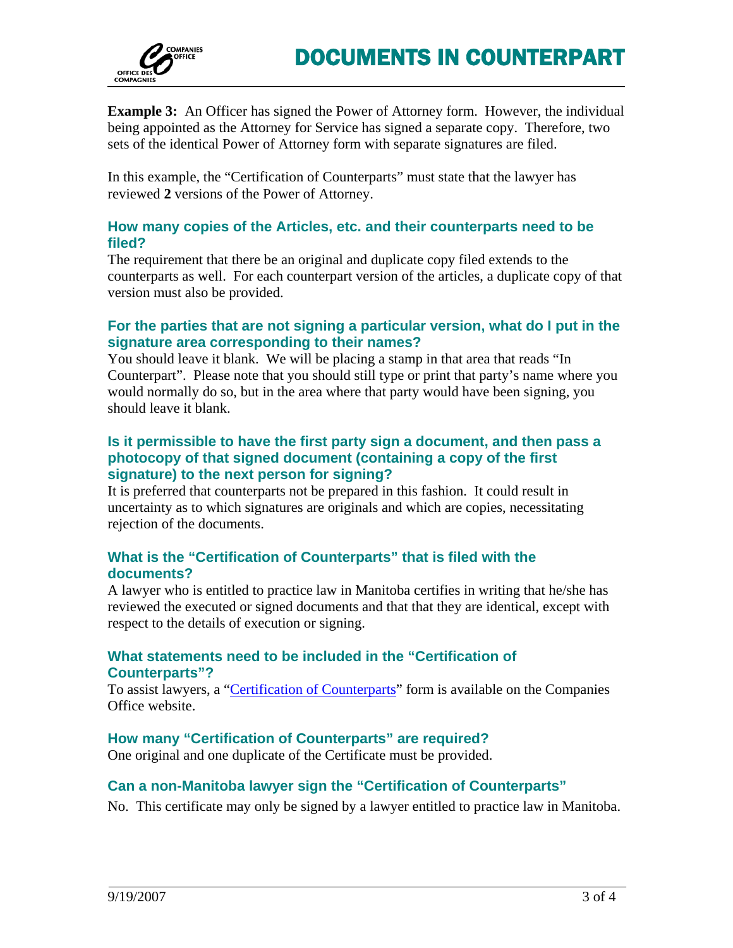<span id="page-2-0"></span>

**Example 3:** An Officer has signed the Power of Attorney form. However, the individual being appointed as the Attorney for Service has signed a separate copy. Therefore, two sets of the identical Power of Attorney form with separate signatures are filed.

In this example, the "Certification of Counterparts" must state that the lawyer has reviewed **2** versions of the Power of Attorney.

## **How many copies of the Articles, etc. and their counterparts need to be filed?**

The requirement that there be an original and duplicate copy filed extends to the counterparts as well. For each counterpart version of the articles, a duplicate copy of that version must also be provided.

# **For the parties that are not signing a particular version, what do I put in the signature area corresponding to their names?**

You should leave it blank. We will be placing a stamp in that area that reads "In Counterpart". Please note that you should still type or print that party's name where you would normally do so, but in the area where that party would have been signing, you should leave it blank.

## **Is it permissible to have the first party sign a document, and then pass a photocopy of that signed document (containing a copy of the first signature) to the next person for signing?**

It is preferred that counterparts not be prepared in this fashion. It could result in uncertainty as to which signatures are originals and which are copies, necessitating rejection of the documents.

# **What is the "Certification of Counterparts" that is filed with the documents?**

A lawyer who is entitled to practice law in Manitoba certifies in writing that he/she has reviewed the executed or signed documents and that that they are identical, except with respect to the details of execution or signing.

# **What statements need to be included in the "Certification of Counterparts"?**

To assist lawyers, a ["Certification of Counterparts"](http://www.companiesoffice.gov.mb.ca/forms/counterpart.pdf) form is available on the Companies Office website.

# **How many "Certification of Counterparts" are required?**

One original and one duplicate of the Certificate must be provided.

# **Can a non-Manitoba lawyer sign the "Certification of Counterparts"**

No. This certificate may only be signed by a lawyer entitled to practice law in Manitoba.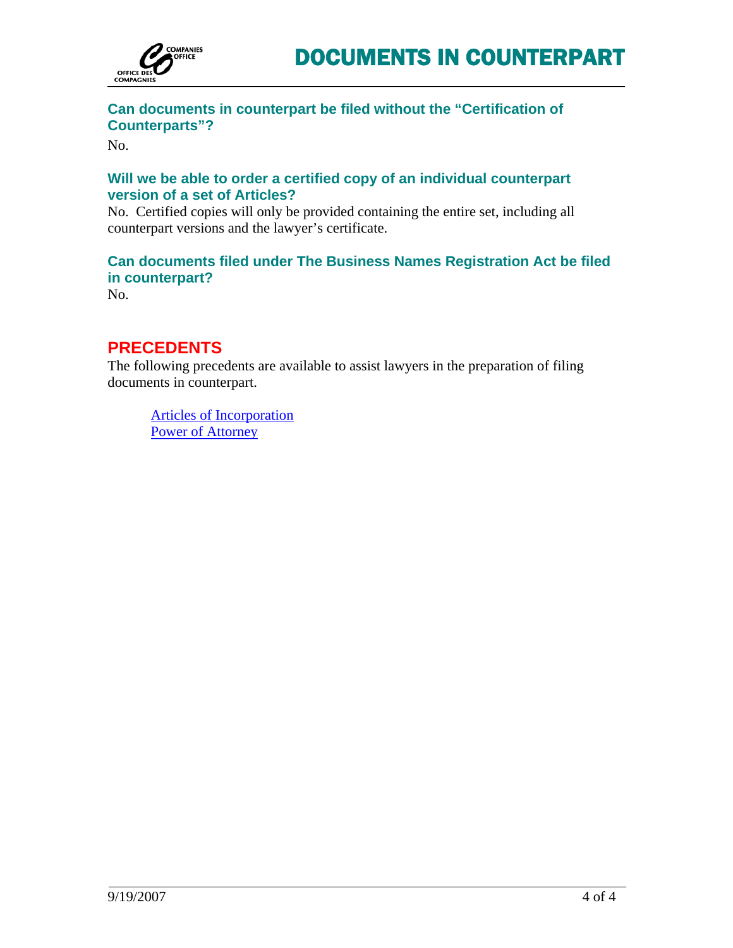<span id="page-3-0"></span>

# **Can documents in counterpart be filed without the "Certification of Counterparts"?**

No.

# **Will we be able to order a certified copy of an individual counterpart version of a set of Articles?**

No. Certified copies will only be provided containing the entire set, including all counterpart versions and the lawyer's certificate.

# **Can documents filed under The Business Names Registration Act be filed in counterpart?**

No.

# **PRECEDENTS**

The following precedents are available to assist lawyers in the preparation of filing documents in counterpart.

[Articles of Incorporation](#page-4-0) [Power of Attorney](#page-9-0)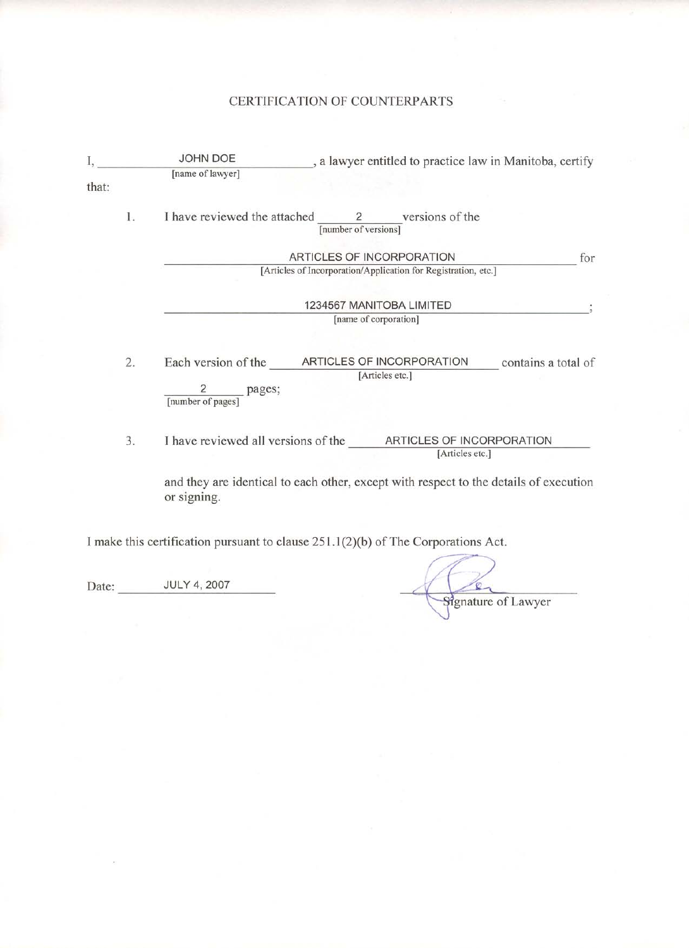# CERTIFICATION OF COUNTERPARTS

|       |    | JOHN DOE                                      | , a lawyer entitled to practice law in Manitoba, certify                              |
|-------|----|-----------------------------------------------|---------------------------------------------------------------------------------------|
| that: |    | [name of lawyer]                              |                                                                                       |
|       | 1. | I have reviewed the attached                  | $\frac{2}{\lceil \text{number of versions} \rceil}$ versions of the                   |
|       |    |                                               | ARTICLES OF INCORPORATION<br>for                                                      |
|       |    |                                               | [Articles of Incorporation/Application for Registration, etc.]                        |
|       |    |                                               | 1234567 MANITOBA LIMITED                                                              |
|       |    |                                               | [name of corporation]                                                                 |
|       |    |                                               |                                                                                       |
|       | 2. | Each version of the ARTICLES OF INCORPORATION | contains a total of<br>[Articles etc.]                                                |
|       |    | pages;<br>[number of pages]                   |                                                                                       |
|       | 3. |                                               | I have reviewed all versions of the ARTICLES OF INCORPORATION<br>[Articles etc.]      |
|       |    | or signing.                                   | and they are identical to each other, except with respect to the details of execution |
|       |    |                                               | I make this certification pursuant to clause 251.1(2)(b) of The Corporations Act.     |

Signature of Lawyer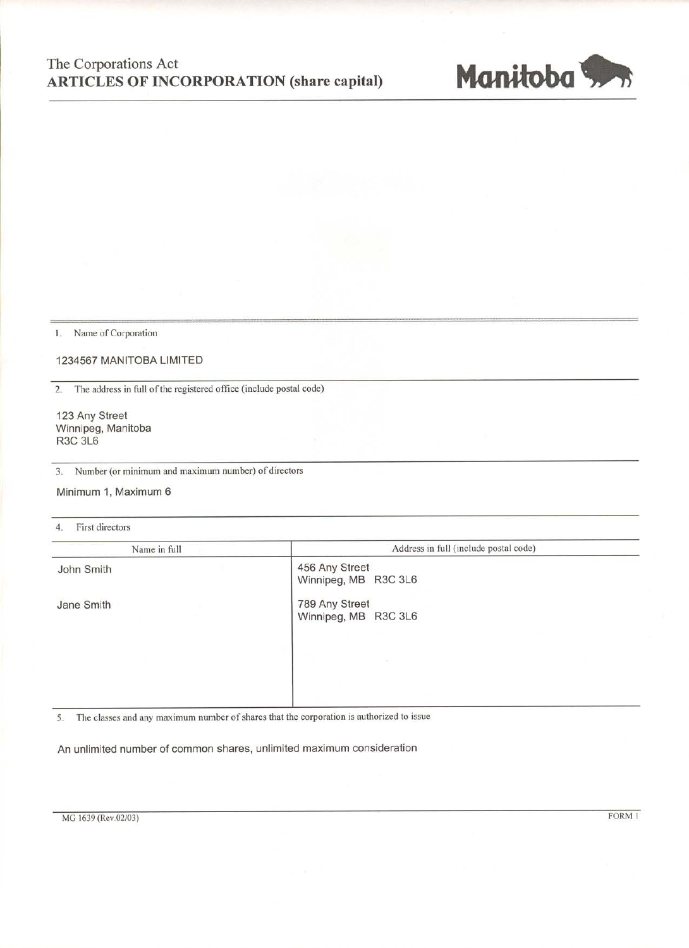# The Corporations Act **ARTICLES OF INCORPORATION (share capital)**



1. Name of Corporation

#### 1234567 MANITOBA LIMITED

The address in full of the registered office (include postal code)  $2.$ 

123 Any Street Winnipeg, Manitoba **R3C 3L6** 

3. Number (or minimum and maximum number) of directors

Minimum 1, Maximum 6

First directors  $4.$ 

| Name in full | Address in full (include postal code)  |  |
|--------------|----------------------------------------|--|
| John Smith   | 456 Any Street<br>Winnipeg, MB R3C 3L6 |  |
| Jane Smith   | 789 Any Street<br>Winnipeg, MB R3C 3L6 |  |
|              |                                        |  |

The classes and any maximum number of shares that the corporation is authorized to issue 5.

An unlimited number of common shares, unlimited maximum consideration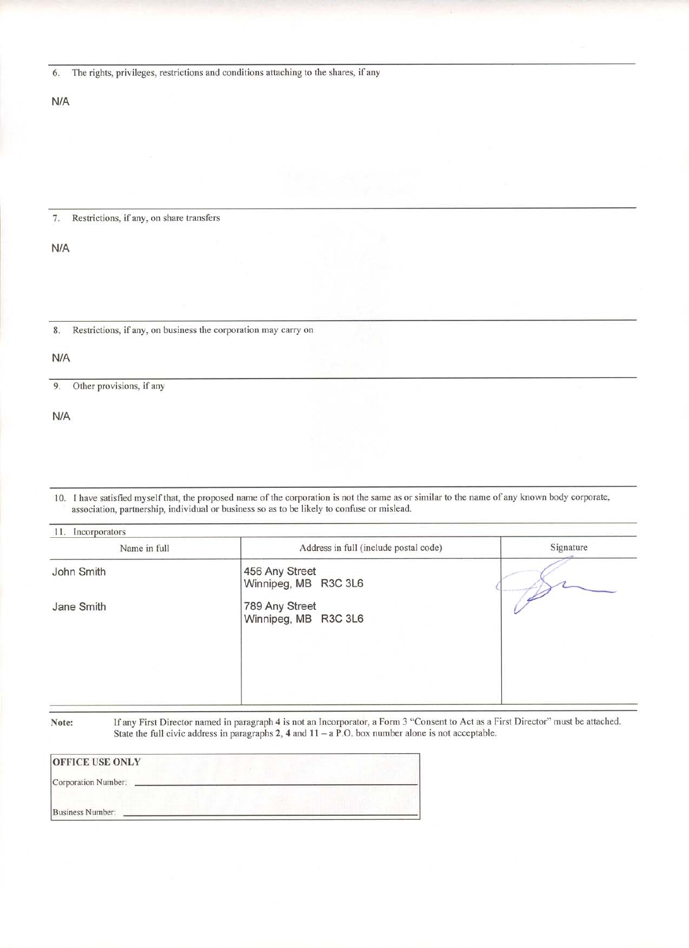|  |  |  | The rights, privileges, restrictions and conditions attaching to the shares, if any |  |  |  |  |
|--|--|--|-------------------------------------------------------------------------------------|--|--|--|--|
|--|--|--|-------------------------------------------------------------------------------------|--|--|--|--|

#### $N/A$

#### $7.$ Restrictions, if any, on share transfers

N/A

 $8. \,$ Restrictions, if any, on business the corporation may carry on

 $N/A$ 

9. Other provisions, if any

 $N/A$ 

10. I have satisfied myself that, the proposed name of the corporation is not the same as or similar to the name of any known body corporate, association, partnership, individual or business so as to be likely to confuse or mislead.

| Name in full | Address in full (include postal code)  | Signature |
|--------------|----------------------------------------|-----------|
| John Smith   | 456 Any Street<br>Winnipeg, MB R3C 3L6 |           |
| Jane Smith   | 789 Any Street<br>Winnipeg, MB R3C 3L6 |           |
|              |                                        |           |
|              |                                        |           |

Note:

If any First Director named in paragraph 4 is not an Incorporator, a Form 3 "Consent to Act as a First Director" must be attached.<br>State the full civic address in paragraphs 2, 4 and  $11 - a$  P.O. box number alone is not ac

| <b>OFFICE USE ONLY</b> |  |
|------------------------|--|
| Corporation Number:    |  |
| Business Number:       |  |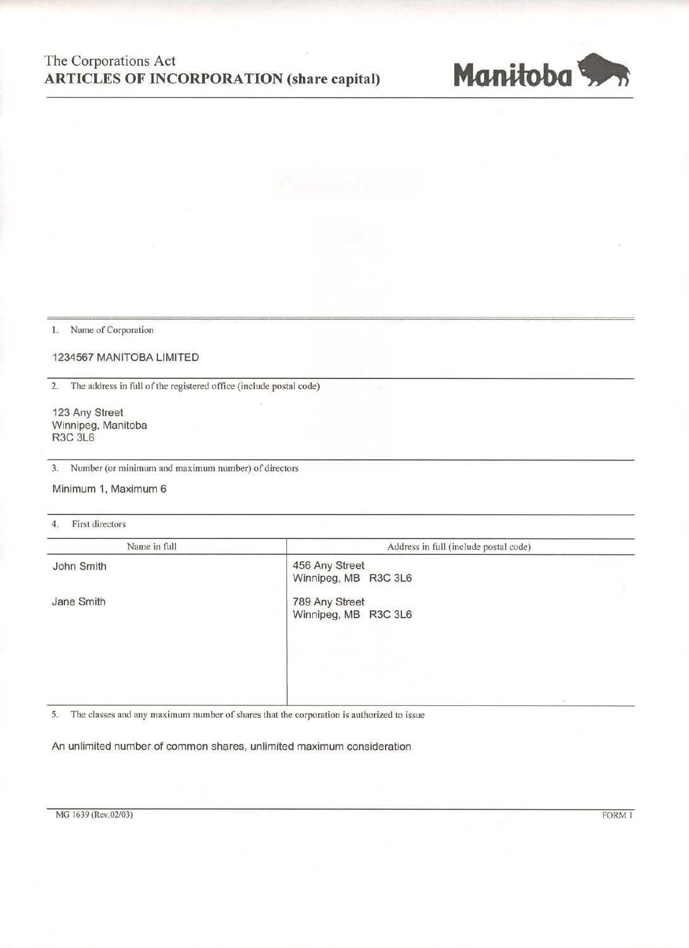# The Corporations Act **ARTICLES OF INCORPORATION (share capital)**



1. Name of Corporation

1234567 MANITOBA LIMITED

2. The address in full of the registered office (include postal code)

123 Any Street Winnipeg, Manitoba **R3C 3L6** 

Number (or minimum and maximum number) of directors 3.

Minimum 1, Maximum 6

4. First directors

| Name in full | Address in full (include postal code)  |
|--------------|----------------------------------------|
| John Smith   | 456 Any Street<br>Winnipeg, MB R3C 3L6 |
| Jane Smith   | 789 Any Street<br>Winnipeg, MB R3C 3L6 |
|              |                                        |
|              |                                        |

The classes and any maximum number of shares that the corporation is authorized to issue 5.

An unlimited number of common shares, unlimited maximum consideration

FORM 1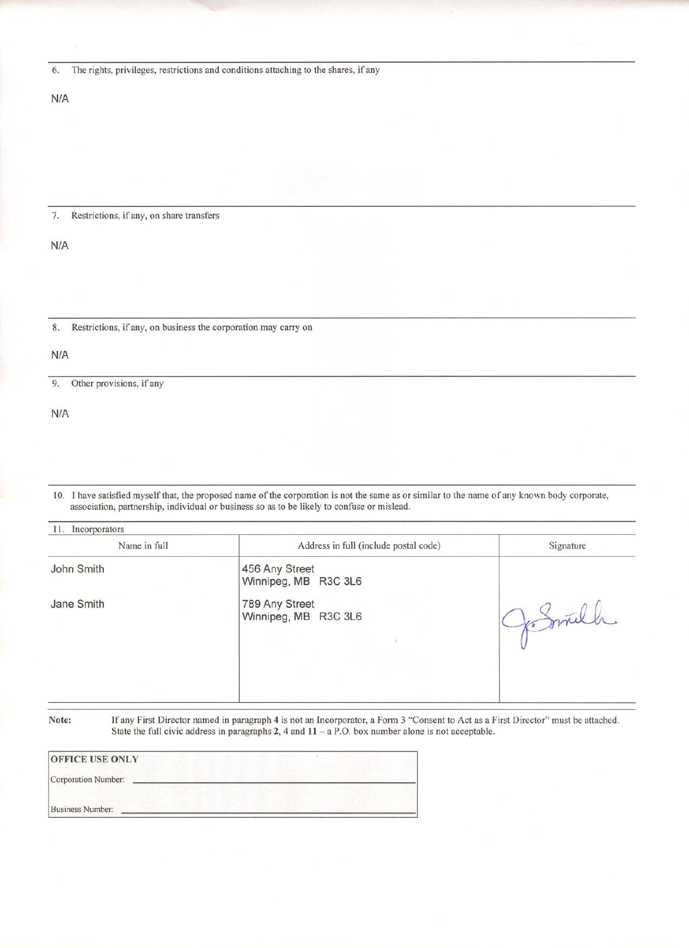The rights, privileges, restrictions and conditions attaching to the shares, if any 6.

 $N/A$ 

#### 7. Restrictions, if any, on share transfers

 $N/A$ 

Restrictions, if any, on business the corporation may carry on  $8. \,$ 

 $N/A$ 

 $9.$ Other provisions, if any

 $N/A$ 

10. I have satisfied myself that, the proposed name of the corporation is not the same as or similar to the name of any known body corporate, association, partnership, individual or business so as to be likely to confuse or mislead.

| 11. Incorporators |                                        |           |
|-------------------|----------------------------------------|-----------|
| Name in full      | Address in full (include postal code)  | Signature |
| John Smith        | 456 Any Street<br>Winnipeg, MB R3C 3L6 |           |
| Jane Smith        | 789 Any Street<br>Winnipeg, MB R3C 3L6 |           |
|                   |                                        |           |

Note:

If any First Director named in paragraph 4 is not an Incorporator, a Form 3 "Consent to Act as a First Director" must be attached. State the full civic address in paragraphs 2, 4 and  $11 - a$  P.O. box number alone is not acceptable.

| <b>OFFICE USE ONLY</b> |  |  |
|------------------------|--|--|
| Corporation Number:    |  |  |
| Business Number:       |  |  |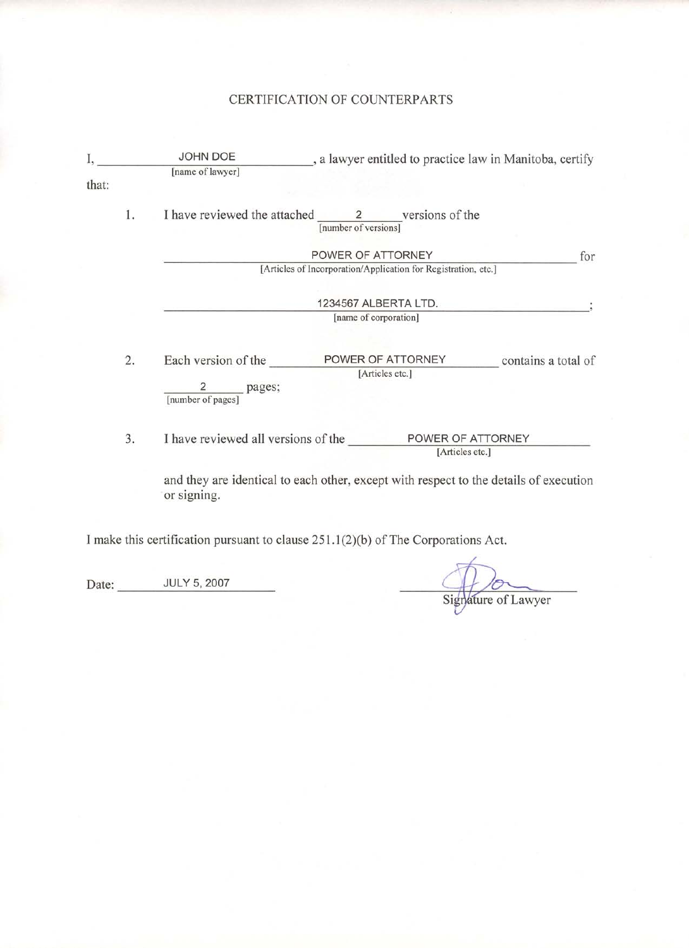### CERTIFICATION OF COUNTERPARTS

|       |    | JOHN DOE                                      | , a lawyer entitled to practice law in Manitoba, certify                              |     |
|-------|----|-----------------------------------------------|---------------------------------------------------------------------------------------|-----|
|       |    | [name of lawyer]                              |                                                                                       |     |
| that: |    |                                               |                                                                                       |     |
|       | 1. |                                               | I have reviewed the attached 2 versions of the<br>[number of versions]                |     |
|       |    |                                               | POWER OF ATTORNEY                                                                     | for |
|       |    |                                               | [Articles of Incorporation/Application for Registration, etc.]                        |     |
|       |    |                                               |                                                                                       |     |
|       |    |                                               | 1234567 ALBERTA LTD.                                                                  |     |
|       |    |                                               | [name of corporation]                                                                 |     |
|       | 2. | Each version of the                           | POWER OF ATTORNEY<br>contains a total of                                              |     |
|       |    |                                               | [Articles etc.]                                                                       |     |
|       |    | $\overline{2}$<br>pages;<br>[number of pages] |                                                                                       |     |
|       | 3. | I have reviewed all versions of the           | POWER OF ATTORNEY                                                                     |     |
|       |    |                                               | [Articles etc.]                                                                       |     |
|       |    | or signing.                                   | and they are identical to each other, except with respect to the details of execution |     |
|       |    |                                               |                                                                                       |     |

I make this certification pursuant to clause 251.1(2)(b) of The Corporations Act.

Date: JULY 5, 2007

Signature of Lawyer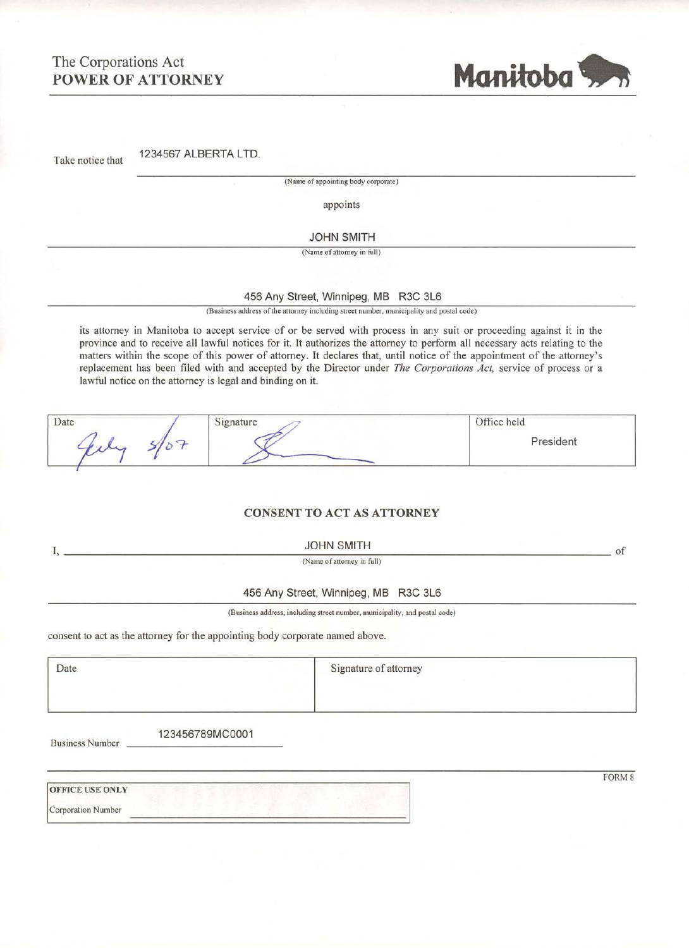# The Corporations Act **POWER OF ATTORNEY**



1234567 ALBERTA LTD. Take notice that

(Name of appointing body corporate)

appoints

#### **JOHN SMITH**

(Name of attorney in full)

#### 456 Any Street, Winnipeg, MB R3C 3L6

(Business address of the attorney including street number, municipality and postal code)

its attorney in Manitoba to accept service of or be served with process in any suit or proceeding against it in the province and to receive all lawful notices for it. It authorizes the attorney to perform all necessary acts relating to the matters within the scope of this power of attorney. It declares that, until notice of the appointment of the attorney's replacement has been filed with and accepted by the Director under The Corporations Act, service of process or a lawful notice on the attorney is legal and binding on it.

| Date | $\sim$ | Office held<br>- 2004년 10월 20일 XX 30일 XX |
|------|--------|------------------------------------------|
|      |        | President                                |

### **CONSENT TO ACT AS ATTORNEY**

**JOHN SMITH** 

(Name of attorney in full)

 $-$  of

### 456 Any Street, Winnipeg, MB R3C 3L6

(Business address, including street number, municipality, and postal code)

|  |  | consent to act as the attorney for the appointing body corporate named above. |
|--|--|-------------------------------------------------------------------------------|
|--|--|-------------------------------------------------------------------------------|

Date

I, \_

Signature of attorney

**Business Number** 

123456789MC0001

**OFFICE USE ONLY** 

**Corporation Number** 

FORM 8